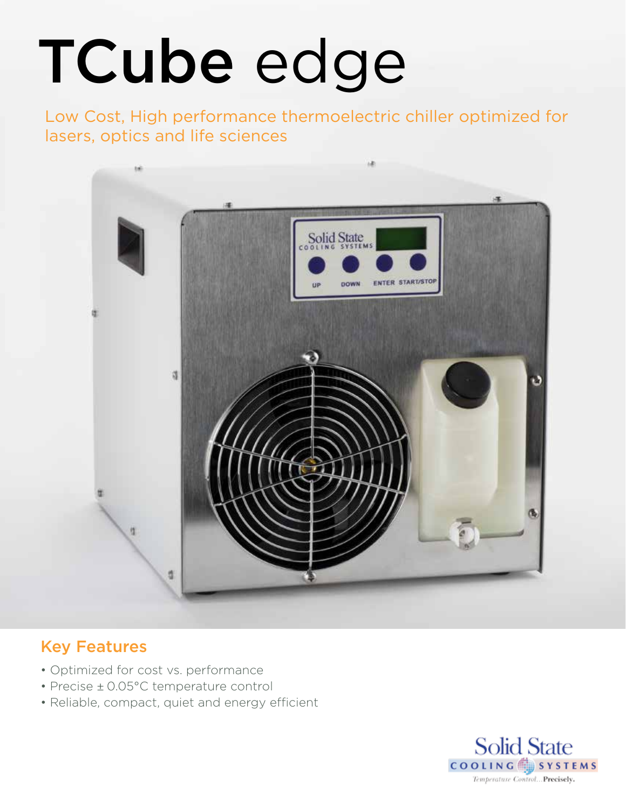# TCube edge

Low Cost, High performance thermoelectric chiller optimized for lasers, optics and life sciences



# Key Features

- Optimized for cost vs. performance
- Precise ± 0.05°C temperature control
- Reliable, compact, quiet and energy efficient